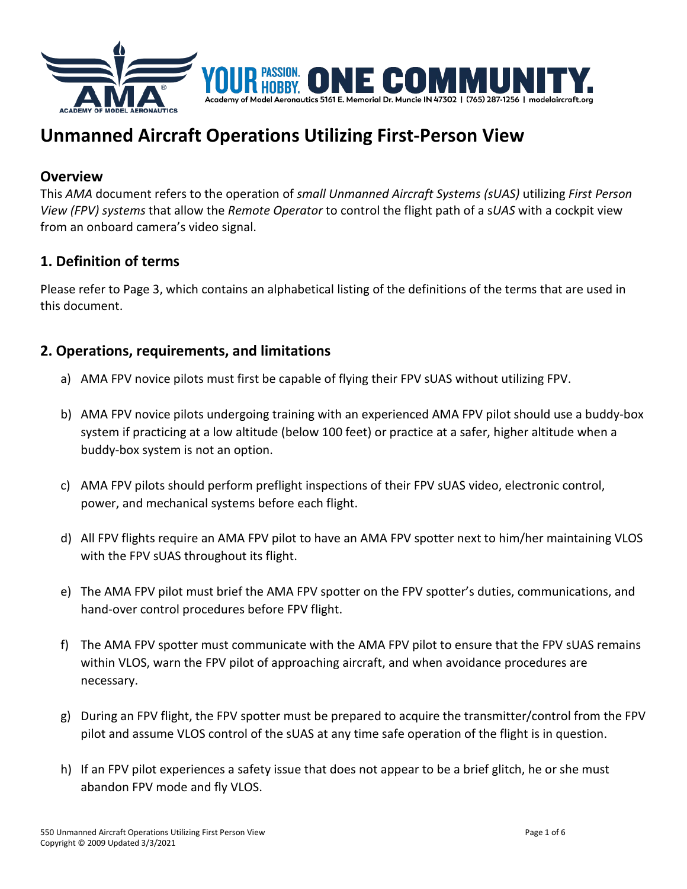

# **Unmanned Aircraft Operations Utilizing First-Person View**

## **Overview**

This *AMA* document refers to the operation of *small Unmanned Aircraft Systems (sUAS)* utilizing *First Person View (FPV) systems* that allow the *Remote Operator* to control the flight path of a s*UAS* with a cockpit view from an onboard camera's video signal.

# **1. Definition of terms**

Please refer to Page 3, which contains an alphabetical listing of the definitions of the terms that are used in this document.

# **2. Operations, requirements, and limitations**

- a) AMA FPV novice pilots must first be capable of flying their FPV sUAS without utilizing FPV.
- b) AMA FPV novice pilots undergoing training with an experienced AMA FPV pilot should use a buddy-box system if practicing at a low altitude (below 100 feet) or practice at a safer, higher altitude when a buddy-box system is not an option.
- c) AMA FPV pilots should perform preflight inspections of their FPV sUAS video, electronic control, power, and mechanical systems before each flight.
- d) All FPV flights require an AMA FPV pilot to have an AMA FPV spotter next to him/her maintaining VLOS with the FPV sUAS throughout its flight.
- e) The AMA FPV pilot must brief the AMA FPV spotter on the FPV spotter's duties, communications, and hand-over control procedures before FPV flight.
- f) The AMA FPV spotter must communicate with the AMA FPV pilot to ensure that the FPV sUAS remains within VLOS, warn the FPV pilot of approaching aircraft, and when avoidance procedures are necessary.
- g) During an FPV flight, the FPV spotter must be prepared to acquire the transmitter/control from the FPV pilot and assume VLOS control of the sUAS at any time safe operation of the flight is in question.
- h) If an FPV pilot experiences a safety issue that does not appear to be a brief glitch, he or she must abandon FPV mode and fly VLOS.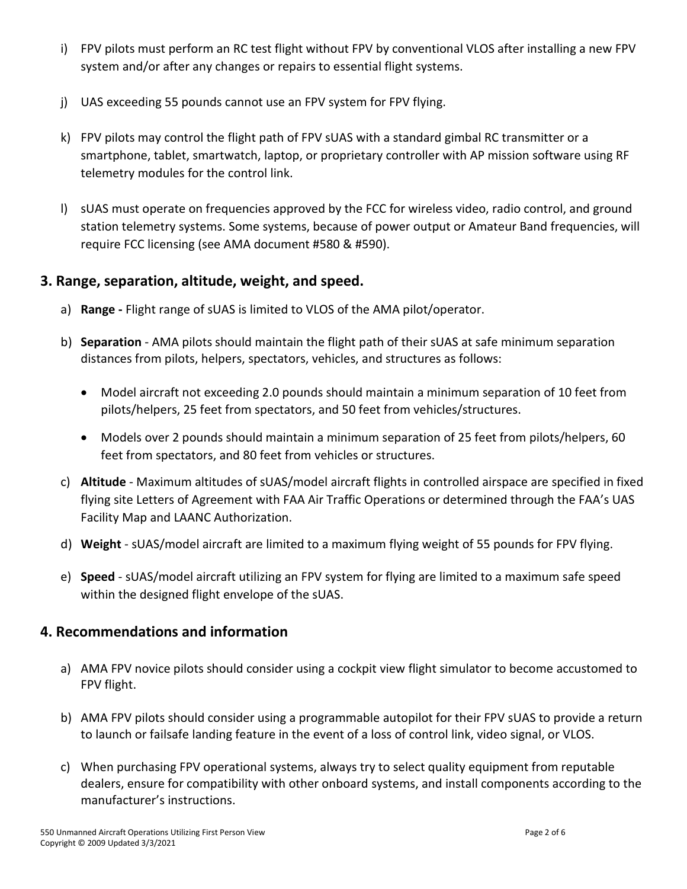- i) FPV pilots must perform an RC test flight without FPV by conventional VLOS after installing a new FPV system and/or after any changes or repairs to essential flight systems.
- j) UAS exceeding 55 pounds cannot use an FPV system for FPV flying.
- k) FPV pilots may control the flight path of FPV sUAS with a standard gimbal RC transmitter or a smartphone, tablet, smartwatch, laptop, or proprietary controller with AP mission software using RF telemetry modules for the control link.
- l) sUAS must operate on frequencies approved by the FCC for wireless video, radio control, and ground station telemetry systems. Some systems, because of power output or Amateur Band frequencies, will require FCC licensing (see AMA document #580 & #590).

# **3. Range, separation, altitude, weight, and speed.**

- a) **Range -** Flight range of sUAS is limited to VLOS of the AMA pilot/operator.
- b) **Separation** AMA pilots should maintain the flight path of their sUAS at safe minimum separation distances from pilots, helpers, spectators, vehicles, and structures as follows:
	- Model aircraft not exceeding 2.0 pounds should maintain a minimum separation of 10 feet from pilots/helpers, 25 feet from spectators, and 50 feet from vehicles/structures.
	- Models over 2 pounds should maintain a minimum separation of 25 feet from pilots/helpers, 60 feet from spectators, and 80 feet from vehicles or structures.
- c) **Altitude** Maximum altitudes of sUAS/model aircraft flights in controlled airspace are specified in fixed flying site Letters of Agreement with FAA Air Traffic Operations or determined through the FAA's UAS Facility Map and LAANC Authorization.
- d) **Weight** sUAS/model aircraft are limited to a maximum flying weight of 55 pounds for FPV flying.
- e) **Speed** sUAS/model aircraft utilizing an FPV system for flying are limited to a maximum safe speed within the designed flight envelope of the sUAS.

# **4. Recommendations and information**

- a) AMA FPV novice pilots should consider using a cockpit view flight simulator to become accustomed to FPV flight.
- b) AMA FPV pilots should consider using a programmable autopilot for their FPV sUAS to provide a return to launch or failsafe landing feature in the event of a loss of control link, video signal, or VLOS.
- c) When purchasing FPV operational systems, always try to select quality equipment from reputable dealers, ensure for compatibility with other onboard systems, and install components according to the manufacturer's instructions.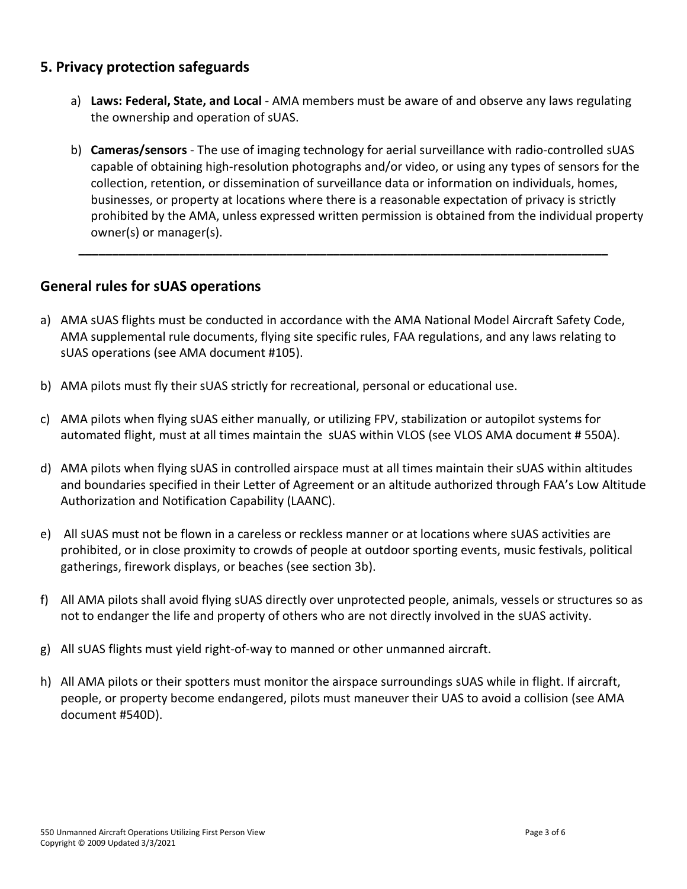# **5. Privacy protection safeguards**

- a) **Laws: Federal, State, and Local** AMA members must be aware of and observe any laws regulating the ownership and operation of sUAS.
- b) **Cameras/sensors** The use of imaging technology for aerial surveillance with radio-controlled sUAS capable of obtaining high-resolution photographs and/or video, or using any types of sensors for the collection, retention, or dissemination of surveillance data or information on individuals, homes, businesses, or property at locations where there is a reasonable expectation of privacy is strictly prohibited by the AMA, unless expressed written permission is obtained from the individual property owner(s) or manager(s).

**\_\_\_\_\_\_\_\_\_\_\_\_\_\_\_\_\_\_\_\_\_\_\_\_\_\_\_\_\_\_\_\_\_\_\_\_\_\_\_\_\_\_\_\_\_\_\_\_\_\_\_\_\_\_\_\_\_\_\_\_\_\_\_\_\_\_\_\_\_\_\_\_\_\_\_\_\_\_\_**

## **General rules for sUAS operations**

- a) AMA sUAS flights must be conducted in accordance with the AMA National Model Aircraft Safety Code, AMA supplemental rule documents, flying site specific rules, FAA regulations, and any laws relating to sUAS operations (see AMA document #105).
- b) AMA pilots must fly their sUAS strictly for recreational, personal or educational use.
- c) AMA pilots when flying sUAS either manually, or utilizing FPV, stabilization or autopilot systems for automated flight, must at all times maintain the sUAS within VLOS (see VLOS AMA document # 550A).
- d) AMA pilots when flying sUAS in controlled airspace must at all times maintain their sUAS within altitudes and boundaries specified in their Letter of Agreement or an altitude authorized through FAA's Low Altitude Authorization and Notification Capability (LAANC).
- e) All sUAS must not be flown in a careless or reckless manner or at locations where sUAS activities are prohibited, or in close proximity to crowds of people at outdoor sporting events, music festivals, political gatherings, firework displays, or beaches (see section 3b).
- f) All AMA pilots shall avoid flying sUAS directly over unprotected people, animals, vessels or structures so as not to endanger the life and property of others who are not directly involved in the sUAS activity.
- g) All sUAS flights must yield right-of-way to manned or other unmanned aircraft.
- h) All AMA pilots or their spotters must monitor the airspace surroundings sUAS while in flight. If aircraft, people, or property become endangered, pilots must maneuver their UAS to avoid a collision (see AMA document #540D).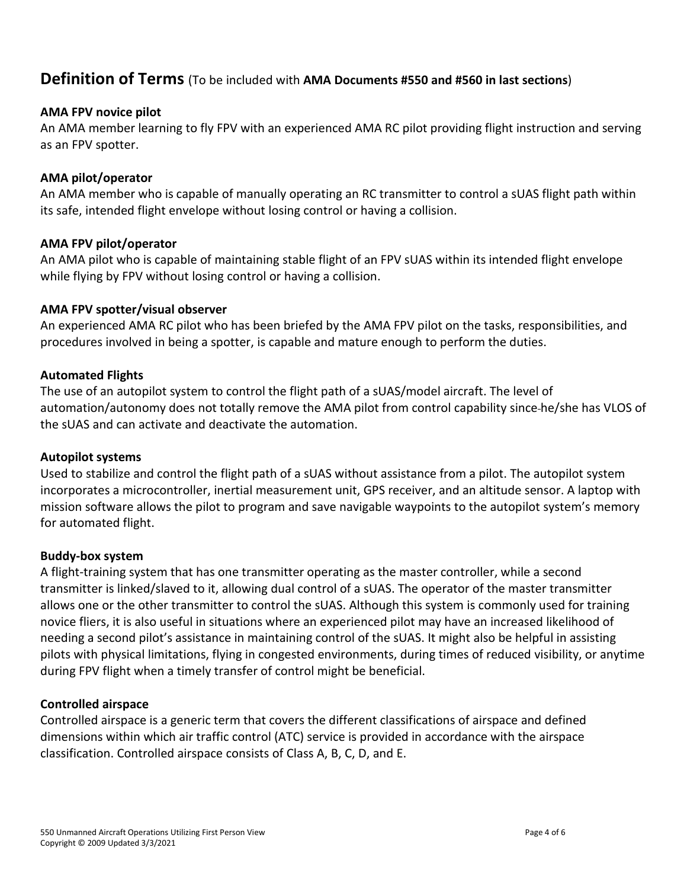# **Definition of Terms** (To be included with **AMA Documents #550 and #560 in last sections**)

## **AMA FPV novice pilot**

An AMA member learning to fly FPV with an experienced AMA RC pilot providing flight instruction and serving as an FPV spotter.

## **AMA pilot/operator**

An AMA member who is capable of manually operating an RC transmitter to control a sUAS flight path within its safe, intended flight envelope without losing control or having a collision.

## **AMA FPV pilot/operator**

An AMA pilot who is capable of maintaining stable flight of an FPV sUAS within its intended flight envelope while flying by FPV without losing control or having a collision.

## **AMA FPV spotter/visual observer**

An experienced AMA RC pilot who has been briefed by the AMA FPV pilot on the tasks, responsibilities, and procedures involved in being a spotter, is capable and mature enough to perform the duties.

## **Automated Flights**

The use of an autopilot system to control the flight path of a sUAS/model aircraft. The level of automation/autonomy does not totally remove the AMA pilot from control capability since he/she has VLOS of the sUAS and can activate and deactivate the automation.

## **Autopilot systems**

Used to stabilize and control the flight path of a sUAS without assistance from a pilot. The autopilot system incorporates a microcontroller, inertial measurement unit, GPS receiver, and an altitude sensor. A laptop with mission software allows the pilot to program and save navigable waypoints to the autopilot system's memory for automated flight.

## **Buddy-box system**

A flight-training system that has one transmitter operating as the master controller, while a second transmitter is linked/slaved to it, allowing dual control of a sUAS. The operator of the master transmitter allows one or the other transmitter to control the sUAS. Although this system is commonly used for training novice fliers, it is also useful in situations where an experienced pilot may have an increased likelihood of needing a second pilot's assistance in maintaining control of the sUAS. It might also be helpful in assisting pilots with physical limitations, flying in congested environments, during times of reduced visibility, or anytime during FPV flight when a timely transfer of control might be beneficial.

## **Controlled airspace**

Controlled airspace is a generic term that covers the different classifications of airspace and defined dimensions within which air traffic control (ATC) service is provided in accordance with the airspace classification. Controlled airspace consists of Class A, B, C, D, and E.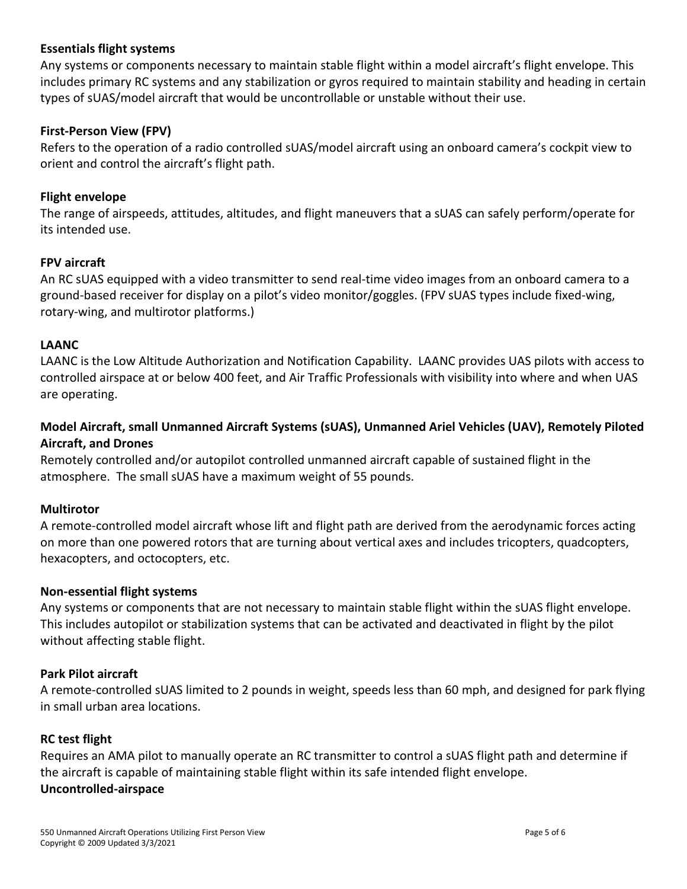## **Essentials flight systems**

Any systems or components necessary to maintain stable flight within a model aircraft's flight envelope. This includes primary RC systems and any stabilization or gyros required to maintain stability and heading in certain types of sUAS/model aircraft that would be uncontrollable or unstable without their use.

#### **First-Person View (FPV)**

Refers to the operation of a radio controlled sUAS/model aircraft using an onboard camera's cockpit view to orient and control the aircraft's flight path.

#### **Flight envelope**

The range of airspeeds, attitudes, altitudes, and flight maneuvers that a sUAS can safely perform/operate for its intended use.

#### **FPV aircraft**

An RC sUAS equipped with a video transmitter to send real-time video images from an onboard camera to a ground-based receiver for display on a pilot's video monitor/goggles. (FPV sUAS types include fixed-wing, rotary-wing, and multirotor platforms.)

#### **LAANC**

LAANC is the Low Altitude Authorization and Notification Capability. LAANC provides UAS pilots with access to controlled airspace at or below 400 feet, and Air Traffic Professionals with visibility into where and when UAS are operating.

## **Model Aircraft, small Unmanned Aircraft Systems (sUAS), Unmanned Ariel Vehicles (UAV), Remotely Piloted Aircraft, and Drones**

Remotely controlled and/or autopilot controlled unmanned aircraft capable of sustained flight in the atmosphere. The small sUAS have a maximum weight of 55 pounds.

#### **Multirotor**

A remote-controlled model aircraft whose lift and flight path are derived from the aerodynamic forces acting on more than one powered rotors that are turning about vertical axes and includes tricopters, quadcopters, hexacopters, and octocopters, etc.

#### **Non-essential flight systems**

Any systems or components that are not necessary to maintain stable flight within the sUAS flight envelope. This includes autopilot or stabilization systems that can be activated and deactivated in flight by the pilot without affecting stable flight.

#### **Park Pilot aircraft**

A remote-controlled sUAS limited to 2 pounds in weight, speeds less than 60 mph, and designed for park flying in small urban area locations.

#### **RC test flight**

Requires an AMA pilot to manually operate an RC transmitter to control a sUAS flight path and determine if the aircraft is capable of maintaining stable flight within its safe intended flight envelope. **Uncontrolled-airspace**